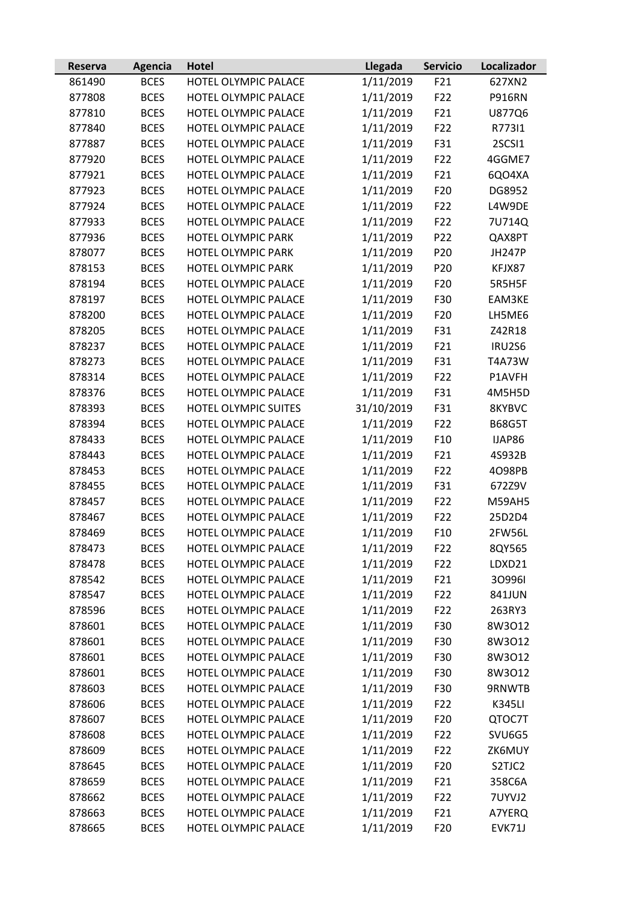| 1/11/2019<br><b>BCES</b><br>F21<br>627XN2<br>861490<br>HOTEL OLYMPIC PALACE<br>1/11/2019<br><b>BCES</b><br>HOTEL OLYMPIC PALACE<br>F22<br><b>P916RN</b><br>877808<br>1/11/2019<br>F21<br><b>BCES</b><br>HOTEL OLYMPIC PALACE<br>877810<br>U877Q6<br>1/11/2019<br>F22<br>877840<br><b>BCES</b><br>HOTEL OLYMPIC PALACE<br>R77311<br>1/11/2019<br>F31<br><b>BCES</b><br>HOTEL OLYMPIC PALACE<br>2SCSI1<br>877887<br>1/11/2019<br>877920<br><b>BCES</b><br>HOTEL OLYMPIC PALACE<br>F22<br>4GGME7<br><b>BCES</b><br>1/11/2019<br>F21<br>877921<br>HOTEL OLYMPIC PALACE<br>6QO4XA<br>F20<br>877923<br><b>BCES</b><br>HOTEL OLYMPIC PALACE<br>1/11/2019<br>DG8952<br>1/11/2019<br>F22<br>877924<br><b>BCES</b><br>HOTEL OLYMPIC PALACE<br>L4W9DE<br>1/11/2019<br>F22<br>877933<br><b>BCES</b><br>HOTEL OLYMPIC PALACE<br>7U714Q<br>1/11/2019<br>877936<br><b>BCES</b><br>HOTEL OLYMPIC PARK<br>P <sub>22</sub><br>QAX8PT<br>P20<br>878077<br><b>BCES</b><br>HOTEL OLYMPIC PARK<br>1/11/2019<br><b>JH247P</b><br>1/11/2019<br>878153<br><b>BCES</b><br>HOTEL OLYMPIC PARK<br>P20<br>KFJX87<br><b>BCES</b><br>HOTEL OLYMPIC PALACE<br>1/11/2019<br>F20<br>878194<br>5R5H5F<br>1/11/2019<br>F30<br><b>BCES</b><br>HOTEL OLYMPIC PALACE<br>878197<br>EAM3KE<br>1/11/2019<br>F20<br>878200<br><b>BCES</b><br>HOTEL OLYMPIC PALACE<br>LH5ME6<br>F31<br>878205<br><b>BCES</b><br>HOTEL OLYMPIC PALACE<br>1/11/2019<br>Z42R18<br>1/11/2019<br>878237<br><b>BCES</b><br>HOTEL OLYMPIC PALACE<br>F21<br>IRU2S6<br>1/11/2019<br>F31<br>878273<br><b>BCES</b><br>HOTEL OLYMPIC PALACE<br>T4A73W<br>1/11/2019<br><b>BCES</b><br>HOTEL OLYMPIC PALACE<br>F22<br>878314<br>P1AVFH<br>1/11/2019<br>F31<br>878376<br><b>BCES</b><br>HOTEL OLYMPIC PALACE<br>4M5H5D<br>31/10/2019<br>F31<br>878393<br><b>BCES</b><br>HOTEL OLYMPIC SUITES<br>8KYBVC<br>1/11/2019<br>F22<br>878394<br><b>BCES</b><br>HOTEL OLYMPIC PALACE<br><b>B68G5T</b><br>1/11/2019<br>F <sub>10</sub><br>878433<br><b>BCES</b><br>HOTEL OLYMPIC PALACE<br>IJAP86<br>1/11/2019<br>878443<br><b>BCES</b><br>HOTEL OLYMPIC PALACE<br>F21<br>4S932B<br><b>BCES</b><br>HOTEL OLYMPIC PALACE<br>1/11/2019<br>F22<br>4098PB<br>878453<br><b>BCES</b><br>HOTEL OLYMPIC PALACE<br>1/11/2019<br>F31<br>878455<br>672Z9V<br>1/11/2019<br><b>BCES</b><br>HOTEL OLYMPIC PALACE<br>F22<br>878457<br><b>M59AH5</b><br><b>BCES</b><br>HOTEL OLYMPIC PALACE<br>1/11/2019<br>F22<br>878467<br>25D2D4<br>HOTEL OLYMPIC PALACE<br>1/11/2019<br>878469<br><b>BCES</b><br>F10<br>2FW56L<br><b>BCES</b><br>HOTEL OLYMPIC PALACE<br>1/11/2019<br>F <sub>22</sub><br>8QY565<br>878473<br>HOTEL OLYMPIC PALACE<br>1/11/2019<br>F22<br>878478<br><b>BCES</b><br>LDXD21<br>1/11/2019<br>878542<br><b>BCES</b><br>HOTEL OLYMPIC PALACE<br>F21<br>309961<br>HOTEL OLYMPIC PALACE<br>1/11/2019<br>F22<br>878547<br><b>BCES</b><br>841JUN<br>1/11/2019<br>HOTEL OLYMPIC PALACE<br>F22<br>878596<br><b>BCES</b><br>263RY3<br>1/11/2019<br>F30<br>878601<br><b>BCES</b><br>HOTEL OLYMPIC PALACE<br>8W3O12<br>HOTEL OLYMPIC PALACE<br>1/11/2019<br>F30<br>8W3O12<br>878601<br><b>BCES</b><br>1/11/2019<br>878601<br><b>BCES</b><br>HOTEL OLYMPIC PALACE<br>F30<br>8W3O12<br>1/11/2019<br>HOTEL OLYMPIC PALACE<br>F30<br>8W3O12<br>878601<br><b>BCES</b><br>1/11/2019<br>878603<br><b>BCES</b><br>HOTEL OLYMPIC PALACE<br>F30<br>9RNWTB<br>1/11/2019<br>F22<br>878606<br><b>BCES</b><br>HOTEL OLYMPIC PALACE<br><b>K345LI</b><br>1/11/2019<br>878607<br>HOTEL OLYMPIC PALACE<br>F <sub>20</sub><br><b>BCES</b><br>QTOC7T<br>878608<br><b>BCES</b><br>HOTEL OLYMPIC PALACE<br>1/11/2019<br>F22<br>SVU6G5<br>1/11/2019<br>HOTEL OLYMPIC PALACE<br>F22<br>ZK6MUY<br>878609<br><b>BCES</b><br>1/11/2019<br>F20<br><b>BCES</b><br>HOTEL OLYMPIC PALACE<br>S2TJC2<br>878645<br>HOTEL OLYMPIC PALACE<br>1/11/2019<br>F21<br>878659<br><b>BCES</b><br>358C6A<br>1/11/2019<br>878662<br><b>BCES</b><br>HOTEL OLYMPIC PALACE<br>F22<br>7UYVJ2<br>1/11/2019<br>F21<br>878663<br><b>BCES</b><br>HOTEL OLYMPIC PALACE<br>A7YERQ<br>1/11/2019<br>878665<br>HOTEL OLYMPIC PALACE<br>F <sub>20</sub><br>EVK71J<br><b>BCES</b> | Reserva | Agencia | <b>Hotel</b> | Llegada | <b>Servicio</b> | Localizador |
|-----------------------------------------------------------------------------------------------------------------------------------------------------------------------------------------------------------------------------------------------------------------------------------------------------------------------------------------------------------------------------------------------------------------------------------------------------------------------------------------------------------------------------------------------------------------------------------------------------------------------------------------------------------------------------------------------------------------------------------------------------------------------------------------------------------------------------------------------------------------------------------------------------------------------------------------------------------------------------------------------------------------------------------------------------------------------------------------------------------------------------------------------------------------------------------------------------------------------------------------------------------------------------------------------------------------------------------------------------------------------------------------------------------------------------------------------------------------------------------------------------------------------------------------------------------------------------------------------------------------------------------------------------------------------------------------------------------------------------------------------------------------------------------------------------------------------------------------------------------------------------------------------------------------------------------------------------------------------------------------------------------------------------------------------------------------------------------------------------------------------------------------------------------------------------------------------------------------------------------------------------------------------------------------------------------------------------------------------------------------------------------------------------------------------------------------------------------------------------------------------------------------------------------------------------------------------------------------------------------------------------------------------------------------------------------------------------------------------------------------------------------------------------------------------------------------------------------------------------------------------------------------------------------------------------------------------------------------------------------------------------------------------------------------------------------------------------------------------------------------------------------------------------------------------------------------------------------------------------------------------------------------------------------------------------------------------------------------------------------------------------------------------------------------------------------------------------------------------------------------------------------------------------------------------------------------------------------------------------------------------------------------------------------------------------------------------------------------------------------------------------------------------------------------------------------------------------------------------------------------------------------------------------------------------------------------------------------------------------------------------------------------------------------------------------------------------------------------------------------------------|---------|---------|--------------|---------|-----------------|-------------|
|                                                                                                                                                                                                                                                                                                                                                                                                                                                                                                                                                                                                                                                                                                                                                                                                                                                                                                                                                                                                                                                                                                                                                                                                                                                                                                                                                                                                                                                                                                                                                                                                                                                                                                                                                                                                                                                                                                                                                                                                                                                                                                                                                                                                                                                                                                                                                                                                                                                                                                                                                                                                                                                                                                                                                                                                                                                                                                                                                                                                                                                                                                                                                                                                                                                                                                                                                                                                                                                                                                                                                                                                                                                                                                                                                                                                                                                                                                                                                                                                                                                                                                                       |         |         |              |         |                 |             |
|                                                                                                                                                                                                                                                                                                                                                                                                                                                                                                                                                                                                                                                                                                                                                                                                                                                                                                                                                                                                                                                                                                                                                                                                                                                                                                                                                                                                                                                                                                                                                                                                                                                                                                                                                                                                                                                                                                                                                                                                                                                                                                                                                                                                                                                                                                                                                                                                                                                                                                                                                                                                                                                                                                                                                                                                                                                                                                                                                                                                                                                                                                                                                                                                                                                                                                                                                                                                                                                                                                                                                                                                                                                                                                                                                                                                                                                                                                                                                                                                                                                                                                                       |         |         |              |         |                 |             |
|                                                                                                                                                                                                                                                                                                                                                                                                                                                                                                                                                                                                                                                                                                                                                                                                                                                                                                                                                                                                                                                                                                                                                                                                                                                                                                                                                                                                                                                                                                                                                                                                                                                                                                                                                                                                                                                                                                                                                                                                                                                                                                                                                                                                                                                                                                                                                                                                                                                                                                                                                                                                                                                                                                                                                                                                                                                                                                                                                                                                                                                                                                                                                                                                                                                                                                                                                                                                                                                                                                                                                                                                                                                                                                                                                                                                                                                                                                                                                                                                                                                                                                                       |         |         |              |         |                 |             |
|                                                                                                                                                                                                                                                                                                                                                                                                                                                                                                                                                                                                                                                                                                                                                                                                                                                                                                                                                                                                                                                                                                                                                                                                                                                                                                                                                                                                                                                                                                                                                                                                                                                                                                                                                                                                                                                                                                                                                                                                                                                                                                                                                                                                                                                                                                                                                                                                                                                                                                                                                                                                                                                                                                                                                                                                                                                                                                                                                                                                                                                                                                                                                                                                                                                                                                                                                                                                                                                                                                                                                                                                                                                                                                                                                                                                                                                                                                                                                                                                                                                                                                                       |         |         |              |         |                 |             |
|                                                                                                                                                                                                                                                                                                                                                                                                                                                                                                                                                                                                                                                                                                                                                                                                                                                                                                                                                                                                                                                                                                                                                                                                                                                                                                                                                                                                                                                                                                                                                                                                                                                                                                                                                                                                                                                                                                                                                                                                                                                                                                                                                                                                                                                                                                                                                                                                                                                                                                                                                                                                                                                                                                                                                                                                                                                                                                                                                                                                                                                                                                                                                                                                                                                                                                                                                                                                                                                                                                                                                                                                                                                                                                                                                                                                                                                                                                                                                                                                                                                                                                                       |         |         |              |         |                 |             |
|                                                                                                                                                                                                                                                                                                                                                                                                                                                                                                                                                                                                                                                                                                                                                                                                                                                                                                                                                                                                                                                                                                                                                                                                                                                                                                                                                                                                                                                                                                                                                                                                                                                                                                                                                                                                                                                                                                                                                                                                                                                                                                                                                                                                                                                                                                                                                                                                                                                                                                                                                                                                                                                                                                                                                                                                                                                                                                                                                                                                                                                                                                                                                                                                                                                                                                                                                                                                                                                                                                                                                                                                                                                                                                                                                                                                                                                                                                                                                                                                                                                                                                                       |         |         |              |         |                 |             |
|                                                                                                                                                                                                                                                                                                                                                                                                                                                                                                                                                                                                                                                                                                                                                                                                                                                                                                                                                                                                                                                                                                                                                                                                                                                                                                                                                                                                                                                                                                                                                                                                                                                                                                                                                                                                                                                                                                                                                                                                                                                                                                                                                                                                                                                                                                                                                                                                                                                                                                                                                                                                                                                                                                                                                                                                                                                                                                                                                                                                                                                                                                                                                                                                                                                                                                                                                                                                                                                                                                                                                                                                                                                                                                                                                                                                                                                                                                                                                                                                                                                                                                                       |         |         |              |         |                 |             |
|                                                                                                                                                                                                                                                                                                                                                                                                                                                                                                                                                                                                                                                                                                                                                                                                                                                                                                                                                                                                                                                                                                                                                                                                                                                                                                                                                                                                                                                                                                                                                                                                                                                                                                                                                                                                                                                                                                                                                                                                                                                                                                                                                                                                                                                                                                                                                                                                                                                                                                                                                                                                                                                                                                                                                                                                                                                                                                                                                                                                                                                                                                                                                                                                                                                                                                                                                                                                                                                                                                                                                                                                                                                                                                                                                                                                                                                                                                                                                                                                                                                                                                                       |         |         |              |         |                 |             |
|                                                                                                                                                                                                                                                                                                                                                                                                                                                                                                                                                                                                                                                                                                                                                                                                                                                                                                                                                                                                                                                                                                                                                                                                                                                                                                                                                                                                                                                                                                                                                                                                                                                                                                                                                                                                                                                                                                                                                                                                                                                                                                                                                                                                                                                                                                                                                                                                                                                                                                                                                                                                                                                                                                                                                                                                                                                                                                                                                                                                                                                                                                                                                                                                                                                                                                                                                                                                                                                                                                                                                                                                                                                                                                                                                                                                                                                                                                                                                                                                                                                                                                                       |         |         |              |         |                 |             |
|                                                                                                                                                                                                                                                                                                                                                                                                                                                                                                                                                                                                                                                                                                                                                                                                                                                                                                                                                                                                                                                                                                                                                                                                                                                                                                                                                                                                                                                                                                                                                                                                                                                                                                                                                                                                                                                                                                                                                                                                                                                                                                                                                                                                                                                                                                                                                                                                                                                                                                                                                                                                                                                                                                                                                                                                                                                                                                                                                                                                                                                                                                                                                                                                                                                                                                                                                                                                                                                                                                                                                                                                                                                                                                                                                                                                                                                                                                                                                                                                                                                                                                                       |         |         |              |         |                 |             |
|                                                                                                                                                                                                                                                                                                                                                                                                                                                                                                                                                                                                                                                                                                                                                                                                                                                                                                                                                                                                                                                                                                                                                                                                                                                                                                                                                                                                                                                                                                                                                                                                                                                                                                                                                                                                                                                                                                                                                                                                                                                                                                                                                                                                                                                                                                                                                                                                                                                                                                                                                                                                                                                                                                                                                                                                                                                                                                                                                                                                                                                                                                                                                                                                                                                                                                                                                                                                                                                                                                                                                                                                                                                                                                                                                                                                                                                                                                                                                                                                                                                                                                                       |         |         |              |         |                 |             |
|                                                                                                                                                                                                                                                                                                                                                                                                                                                                                                                                                                                                                                                                                                                                                                                                                                                                                                                                                                                                                                                                                                                                                                                                                                                                                                                                                                                                                                                                                                                                                                                                                                                                                                                                                                                                                                                                                                                                                                                                                                                                                                                                                                                                                                                                                                                                                                                                                                                                                                                                                                                                                                                                                                                                                                                                                                                                                                                                                                                                                                                                                                                                                                                                                                                                                                                                                                                                                                                                                                                                                                                                                                                                                                                                                                                                                                                                                                                                                                                                                                                                                                                       |         |         |              |         |                 |             |
|                                                                                                                                                                                                                                                                                                                                                                                                                                                                                                                                                                                                                                                                                                                                                                                                                                                                                                                                                                                                                                                                                                                                                                                                                                                                                                                                                                                                                                                                                                                                                                                                                                                                                                                                                                                                                                                                                                                                                                                                                                                                                                                                                                                                                                                                                                                                                                                                                                                                                                                                                                                                                                                                                                                                                                                                                                                                                                                                                                                                                                                                                                                                                                                                                                                                                                                                                                                                                                                                                                                                                                                                                                                                                                                                                                                                                                                                                                                                                                                                                                                                                                                       |         |         |              |         |                 |             |
|                                                                                                                                                                                                                                                                                                                                                                                                                                                                                                                                                                                                                                                                                                                                                                                                                                                                                                                                                                                                                                                                                                                                                                                                                                                                                                                                                                                                                                                                                                                                                                                                                                                                                                                                                                                                                                                                                                                                                                                                                                                                                                                                                                                                                                                                                                                                                                                                                                                                                                                                                                                                                                                                                                                                                                                                                                                                                                                                                                                                                                                                                                                                                                                                                                                                                                                                                                                                                                                                                                                                                                                                                                                                                                                                                                                                                                                                                                                                                                                                                                                                                                                       |         |         |              |         |                 |             |
|                                                                                                                                                                                                                                                                                                                                                                                                                                                                                                                                                                                                                                                                                                                                                                                                                                                                                                                                                                                                                                                                                                                                                                                                                                                                                                                                                                                                                                                                                                                                                                                                                                                                                                                                                                                                                                                                                                                                                                                                                                                                                                                                                                                                                                                                                                                                                                                                                                                                                                                                                                                                                                                                                                                                                                                                                                                                                                                                                                                                                                                                                                                                                                                                                                                                                                                                                                                                                                                                                                                                                                                                                                                                                                                                                                                                                                                                                                                                                                                                                                                                                                                       |         |         |              |         |                 |             |
|                                                                                                                                                                                                                                                                                                                                                                                                                                                                                                                                                                                                                                                                                                                                                                                                                                                                                                                                                                                                                                                                                                                                                                                                                                                                                                                                                                                                                                                                                                                                                                                                                                                                                                                                                                                                                                                                                                                                                                                                                                                                                                                                                                                                                                                                                                                                                                                                                                                                                                                                                                                                                                                                                                                                                                                                                                                                                                                                                                                                                                                                                                                                                                                                                                                                                                                                                                                                                                                                                                                                                                                                                                                                                                                                                                                                                                                                                                                                                                                                                                                                                                                       |         |         |              |         |                 |             |
|                                                                                                                                                                                                                                                                                                                                                                                                                                                                                                                                                                                                                                                                                                                                                                                                                                                                                                                                                                                                                                                                                                                                                                                                                                                                                                                                                                                                                                                                                                                                                                                                                                                                                                                                                                                                                                                                                                                                                                                                                                                                                                                                                                                                                                                                                                                                                                                                                                                                                                                                                                                                                                                                                                                                                                                                                                                                                                                                                                                                                                                                                                                                                                                                                                                                                                                                                                                                                                                                                                                                                                                                                                                                                                                                                                                                                                                                                                                                                                                                                                                                                                                       |         |         |              |         |                 |             |
|                                                                                                                                                                                                                                                                                                                                                                                                                                                                                                                                                                                                                                                                                                                                                                                                                                                                                                                                                                                                                                                                                                                                                                                                                                                                                                                                                                                                                                                                                                                                                                                                                                                                                                                                                                                                                                                                                                                                                                                                                                                                                                                                                                                                                                                                                                                                                                                                                                                                                                                                                                                                                                                                                                                                                                                                                                                                                                                                                                                                                                                                                                                                                                                                                                                                                                                                                                                                                                                                                                                                                                                                                                                                                                                                                                                                                                                                                                                                                                                                                                                                                                                       |         |         |              |         |                 |             |
|                                                                                                                                                                                                                                                                                                                                                                                                                                                                                                                                                                                                                                                                                                                                                                                                                                                                                                                                                                                                                                                                                                                                                                                                                                                                                                                                                                                                                                                                                                                                                                                                                                                                                                                                                                                                                                                                                                                                                                                                                                                                                                                                                                                                                                                                                                                                                                                                                                                                                                                                                                                                                                                                                                                                                                                                                                                                                                                                                                                                                                                                                                                                                                                                                                                                                                                                                                                                                                                                                                                                                                                                                                                                                                                                                                                                                                                                                                                                                                                                                                                                                                                       |         |         |              |         |                 |             |
|                                                                                                                                                                                                                                                                                                                                                                                                                                                                                                                                                                                                                                                                                                                                                                                                                                                                                                                                                                                                                                                                                                                                                                                                                                                                                                                                                                                                                                                                                                                                                                                                                                                                                                                                                                                                                                                                                                                                                                                                                                                                                                                                                                                                                                                                                                                                                                                                                                                                                                                                                                                                                                                                                                                                                                                                                                                                                                                                                                                                                                                                                                                                                                                                                                                                                                                                                                                                                                                                                                                                                                                                                                                                                                                                                                                                                                                                                                                                                                                                                                                                                                                       |         |         |              |         |                 |             |
|                                                                                                                                                                                                                                                                                                                                                                                                                                                                                                                                                                                                                                                                                                                                                                                                                                                                                                                                                                                                                                                                                                                                                                                                                                                                                                                                                                                                                                                                                                                                                                                                                                                                                                                                                                                                                                                                                                                                                                                                                                                                                                                                                                                                                                                                                                                                                                                                                                                                                                                                                                                                                                                                                                                                                                                                                                                                                                                                                                                                                                                                                                                                                                                                                                                                                                                                                                                                                                                                                                                                                                                                                                                                                                                                                                                                                                                                                                                                                                                                                                                                                                                       |         |         |              |         |                 |             |
|                                                                                                                                                                                                                                                                                                                                                                                                                                                                                                                                                                                                                                                                                                                                                                                                                                                                                                                                                                                                                                                                                                                                                                                                                                                                                                                                                                                                                                                                                                                                                                                                                                                                                                                                                                                                                                                                                                                                                                                                                                                                                                                                                                                                                                                                                                                                                                                                                                                                                                                                                                                                                                                                                                                                                                                                                                                                                                                                                                                                                                                                                                                                                                                                                                                                                                                                                                                                                                                                                                                                                                                                                                                                                                                                                                                                                                                                                                                                                                                                                                                                                                                       |         |         |              |         |                 |             |
|                                                                                                                                                                                                                                                                                                                                                                                                                                                                                                                                                                                                                                                                                                                                                                                                                                                                                                                                                                                                                                                                                                                                                                                                                                                                                                                                                                                                                                                                                                                                                                                                                                                                                                                                                                                                                                                                                                                                                                                                                                                                                                                                                                                                                                                                                                                                                                                                                                                                                                                                                                                                                                                                                                                                                                                                                                                                                                                                                                                                                                                                                                                                                                                                                                                                                                                                                                                                                                                                                                                                                                                                                                                                                                                                                                                                                                                                                                                                                                                                                                                                                                                       |         |         |              |         |                 |             |
|                                                                                                                                                                                                                                                                                                                                                                                                                                                                                                                                                                                                                                                                                                                                                                                                                                                                                                                                                                                                                                                                                                                                                                                                                                                                                                                                                                                                                                                                                                                                                                                                                                                                                                                                                                                                                                                                                                                                                                                                                                                                                                                                                                                                                                                                                                                                                                                                                                                                                                                                                                                                                                                                                                                                                                                                                                                                                                                                                                                                                                                                                                                                                                                                                                                                                                                                                                                                                                                                                                                                                                                                                                                                                                                                                                                                                                                                                                                                                                                                                                                                                                                       |         |         |              |         |                 |             |
|                                                                                                                                                                                                                                                                                                                                                                                                                                                                                                                                                                                                                                                                                                                                                                                                                                                                                                                                                                                                                                                                                                                                                                                                                                                                                                                                                                                                                                                                                                                                                                                                                                                                                                                                                                                                                                                                                                                                                                                                                                                                                                                                                                                                                                                                                                                                                                                                                                                                                                                                                                                                                                                                                                                                                                                                                                                                                                                                                                                                                                                                                                                                                                                                                                                                                                                                                                                                                                                                                                                                                                                                                                                                                                                                                                                                                                                                                                                                                                                                                                                                                                                       |         |         |              |         |                 |             |
|                                                                                                                                                                                                                                                                                                                                                                                                                                                                                                                                                                                                                                                                                                                                                                                                                                                                                                                                                                                                                                                                                                                                                                                                                                                                                                                                                                                                                                                                                                                                                                                                                                                                                                                                                                                                                                                                                                                                                                                                                                                                                                                                                                                                                                                                                                                                                                                                                                                                                                                                                                                                                                                                                                                                                                                                                                                                                                                                                                                                                                                                                                                                                                                                                                                                                                                                                                                                                                                                                                                                                                                                                                                                                                                                                                                                                                                                                                                                                                                                                                                                                                                       |         |         |              |         |                 |             |
|                                                                                                                                                                                                                                                                                                                                                                                                                                                                                                                                                                                                                                                                                                                                                                                                                                                                                                                                                                                                                                                                                                                                                                                                                                                                                                                                                                                                                                                                                                                                                                                                                                                                                                                                                                                                                                                                                                                                                                                                                                                                                                                                                                                                                                                                                                                                                                                                                                                                                                                                                                                                                                                                                                                                                                                                                                                                                                                                                                                                                                                                                                                                                                                                                                                                                                                                                                                                                                                                                                                                                                                                                                                                                                                                                                                                                                                                                                                                                                                                                                                                                                                       |         |         |              |         |                 |             |
|                                                                                                                                                                                                                                                                                                                                                                                                                                                                                                                                                                                                                                                                                                                                                                                                                                                                                                                                                                                                                                                                                                                                                                                                                                                                                                                                                                                                                                                                                                                                                                                                                                                                                                                                                                                                                                                                                                                                                                                                                                                                                                                                                                                                                                                                                                                                                                                                                                                                                                                                                                                                                                                                                                                                                                                                                                                                                                                                                                                                                                                                                                                                                                                                                                                                                                                                                                                                                                                                                                                                                                                                                                                                                                                                                                                                                                                                                                                                                                                                                                                                                                                       |         |         |              |         |                 |             |
|                                                                                                                                                                                                                                                                                                                                                                                                                                                                                                                                                                                                                                                                                                                                                                                                                                                                                                                                                                                                                                                                                                                                                                                                                                                                                                                                                                                                                                                                                                                                                                                                                                                                                                                                                                                                                                                                                                                                                                                                                                                                                                                                                                                                                                                                                                                                                                                                                                                                                                                                                                                                                                                                                                                                                                                                                                                                                                                                                                                                                                                                                                                                                                                                                                                                                                                                                                                                                                                                                                                                                                                                                                                                                                                                                                                                                                                                                                                                                                                                                                                                                                                       |         |         |              |         |                 |             |
|                                                                                                                                                                                                                                                                                                                                                                                                                                                                                                                                                                                                                                                                                                                                                                                                                                                                                                                                                                                                                                                                                                                                                                                                                                                                                                                                                                                                                                                                                                                                                                                                                                                                                                                                                                                                                                                                                                                                                                                                                                                                                                                                                                                                                                                                                                                                                                                                                                                                                                                                                                                                                                                                                                                                                                                                                                                                                                                                                                                                                                                                                                                                                                                                                                                                                                                                                                                                                                                                                                                                                                                                                                                                                                                                                                                                                                                                                                                                                                                                                                                                                                                       |         |         |              |         |                 |             |
|                                                                                                                                                                                                                                                                                                                                                                                                                                                                                                                                                                                                                                                                                                                                                                                                                                                                                                                                                                                                                                                                                                                                                                                                                                                                                                                                                                                                                                                                                                                                                                                                                                                                                                                                                                                                                                                                                                                                                                                                                                                                                                                                                                                                                                                                                                                                                                                                                                                                                                                                                                                                                                                                                                                                                                                                                                                                                                                                                                                                                                                                                                                                                                                                                                                                                                                                                                                                                                                                                                                                                                                                                                                                                                                                                                                                                                                                                                                                                                                                                                                                                                                       |         |         |              |         |                 |             |
|                                                                                                                                                                                                                                                                                                                                                                                                                                                                                                                                                                                                                                                                                                                                                                                                                                                                                                                                                                                                                                                                                                                                                                                                                                                                                                                                                                                                                                                                                                                                                                                                                                                                                                                                                                                                                                                                                                                                                                                                                                                                                                                                                                                                                                                                                                                                                                                                                                                                                                                                                                                                                                                                                                                                                                                                                                                                                                                                                                                                                                                                                                                                                                                                                                                                                                                                                                                                                                                                                                                                                                                                                                                                                                                                                                                                                                                                                                                                                                                                                                                                                                                       |         |         |              |         |                 |             |
|                                                                                                                                                                                                                                                                                                                                                                                                                                                                                                                                                                                                                                                                                                                                                                                                                                                                                                                                                                                                                                                                                                                                                                                                                                                                                                                                                                                                                                                                                                                                                                                                                                                                                                                                                                                                                                                                                                                                                                                                                                                                                                                                                                                                                                                                                                                                                                                                                                                                                                                                                                                                                                                                                                                                                                                                                                                                                                                                                                                                                                                                                                                                                                                                                                                                                                                                                                                                                                                                                                                                                                                                                                                                                                                                                                                                                                                                                                                                                                                                                                                                                                                       |         |         |              |         |                 |             |
|                                                                                                                                                                                                                                                                                                                                                                                                                                                                                                                                                                                                                                                                                                                                                                                                                                                                                                                                                                                                                                                                                                                                                                                                                                                                                                                                                                                                                                                                                                                                                                                                                                                                                                                                                                                                                                                                                                                                                                                                                                                                                                                                                                                                                                                                                                                                                                                                                                                                                                                                                                                                                                                                                                                                                                                                                                                                                                                                                                                                                                                                                                                                                                                                                                                                                                                                                                                                                                                                                                                                                                                                                                                                                                                                                                                                                                                                                                                                                                                                                                                                                                                       |         |         |              |         |                 |             |
|                                                                                                                                                                                                                                                                                                                                                                                                                                                                                                                                                                                                                                                                                                                                                                                                                                                                                                                                                                                                                                                                                                                                                                                                                                                                                                                                                                                                                                                                                                                                                                                                                                                                                                                                                                                                                                                                                                                                                                                                                                                                                                                                                                                                                                                                                                                                                                                                                                                                                                                                                                                                                                                                                                                                                                                                                                                                                                                                                                                                                                                                                                                                                                                                                                                                                                                                                                                                                                                                                                                                                                                                                                                                                                                                                                                                                                                                                                                                                                                                                                                                                                                       |         |         |              |         |                 |             |
|                                                                                                                                                                                                                                                                                                                                                                                                                                                                                                                                                                                                                                                                                                                                                                                                                                                                                                                                                                                                                                                                                                                                                                                                                                                                                                                                                                                                                                                                                                                                                                                                                                                                                                                                                                                                                                                                                                                                                                                                                                                                                                                                                                                                                                                                                                                                                                                                                                                                                                                                                                                                                                                                                                                                                                                                                                                                                                                                                                                                                                                                                                                                                                                                                                                                                                                                                                                                                                                                                                                                                                                                                                                                                                                                                                                                                                                                                                                                                                                                                                                                                                                       |         |         |              |         |                 |             |
|                                                                                                                                                                                                                                                                                                                                                                                                                                                                                                                                                                                                                                                                                                                                                                                                                                                                                                                                                                                                                                                                                                                                                                                                                                                                                                                                                                                                                                                                                                                                                                                                                                                                                                                                                                                                                                                                                                                                                                                                                                                                                                                                                                                                                                                                                                                                                                                                                                                                                                                                                                                                                                                                                                                                                                                                                                                                                                                                                                                                                                                                                                                                                                                                                                                                                                                                                                                                                                                                                                                                                                                                                                                                                                                                                                                                                                                                                                                                                                                                                                                                                                                       |         |         |              |         |                 |             |
|                                                                                                                                                                                                                                                                                                                                                                                                                                                                                                                                                                                                                                                                                                                                                                                                                                                                                                                                                                                                                                                                                                                                                                                                                                                                                                                                                                                                                                                                                                                                                                                                                                                                                                                                                                                                                                                                                                                                                                                                                                                                                                                                                                                                                                                                                                                                                                                                                                                                                                                                                                                                                                                                                                                                                                                                                                                                                                                                                                                                                                                                                                                                                                                                                                                                                                                                                                                                                                                                                                                                                                                                                                                                                                                                                                                                                                                                                                                                                                                                                                                                                                                       |         |         |              |         |                 |             |
|                                                                                                                                                                                                                                                                                                                                                                                                                                                                                                                                                                                                                                                                                                                                                                                                                                                                                                                                                                                                                                                                                                                                                                                                                                                                                                                                                                                                                                                                                                                                                                                                                                                                                                                                                                                                                                                                                                                                                                                                                                                                                                                                                                                                                                                                                                                                                                                                                                                                                                                                                                                                                                                                                                                                                                                                                                                                                                                                                                                                                                                                                                                                                                                                                                                                                                                                                                                                                                                                                                                                                                                                                                                                                                                                                                                                                                                                                                                                                                                                                                                                                                                       |         |         |              |         |                 |             |
|                                                                                                                                                                                                                                                                                                                                                                                                                                                                                                                                                                                                                                                                                                                                                                                                                                                                                                                                                                                                                                                                                                                                                                                                                                                                                                                                                                                                                                                                                                                                                                                                                                                                                                                                                                                                                                                                                                                                                                                                                                                                                                                                                                                                                                                                                                                                                                                                                                                                                                                                                                                                                                                                                                                                                                                                                                                                                                                                                                                                                                                                                                                                                                                                                                                                                                                                                                                                                                                                                                                                                                                                                                                                                                                                                                                                                                                                                                                                                                                                                                                                                                                       |         |         |              |         |                 |             |
|                                                                                                                                                                                                                                                                                                                                                                                                                                                                                                                                                                                                                                                                                                                                                                                                                                                                                                                                                                                                                                                                                                                                                                                                                                                                                                                                                                                                                                                                                                                                                                                                                                                                                                                                                                                                                                                                                                                                                                                                                                                                                                                                                                                                                                                                                                                                                                                                                                                                                                                                                                                                                                                                                                                                                                                                                                                                                                                                                                                                                                                                                                                                                                                                                                                                                                                                                                                                                                                                                                                                                                                                                                                                                                                                                                                                                                                                                                                                                                                                                                                                                                                       |         |         |              |         |                 |             |
|                                                                                                                                                                                                                                                                                                                                                                                                                                                                                                                                                                                                                                                                                                                                                                                                                                                                                                                                                                                                                                                                                                                                                                                                                                                                                                                                                                                                                                                                                                                                                                                                                                                                                                                                                                                                                                                                                                                                                                                                                                                                                                                                                                                                                                                                                                                                                                                                                                                                                                                                                                                                                                                                                                                                                                                                                                                                                                                                                                                                                                                                                                                                                                                                                                                                                                                                                                                                                                                                                                                                                                                                                                                                                                                                                                                                                                                                                                                                                                                                                                                                                                                       |         |         |              |         |                 |             |
|                                                                                                                                                                                                                                                                                                                                                                                                                                                                                                                                                                                                                                                                                                                                                                                                                                                                                                                                                                                                                                                                                                                                                                                                                                                                                                                                                                                                                                                                                                                                                                                                                                                                                                                                                                                                                                                                                                                                                                                                                                                                                                                                                                                                                                                                                                                                                                                                                                                                                                                                                                                                                                                                                                                                                                                                                                                                                                                                                                                                                                                                                                                                                                                                                                                                                                                                                                                                                                                                                                                                                                                                                                                                                                                                                                                                                                                                                                                                                                                                                                                                                                                       |         |         |              |         |                 |             |
|                                                                                                                                                                                                                                                                                                                                                                                                                                                                                                                                                                                                                                                                                                                                                                                                                                                                                                                                                                                                                                                                                                                                                                                                                                                                                                                                                                                                                                                                                                                                                                                                                                                                                                                                                                                                                                                                                                                                                                                                                                                                                                                                                                                                                                                                                                                                                                                                                                                                                                                                                                                                                                                                                                                                                                                                                                                                                                                                                                                                                                                                                                                                                                                                                                                                                                                                                                                                                                                                                                                                                                                                                                                                                                                                                                                                                                                                                                                                                                                                                                                                                                                       |         |         |              |         |                 |             |
|                                                                                                                                                                                                                                                                                                                                                                                                                                                                                                                                                                                                                                                                                                                                                                                                                                                                                                                                                                                                                                                                                                                                                                                                                                                                                                                                                                                                                                                                                                                                                                                                                                                                                                                                                                                                                                                                                                                                                                                                                                                                                                                                                                                                                                                                                                                                                                                                                                                                                                                                                                                                                                                                                                                                                                                                                                                                                                                                                                                                                                                                                                                                                                                                                                                                                                                                                                                                                                                                                                                                                                                                                                                                                                                                                                                                                                                                                                                                                                                                                                                                                                                       |         |         |              |         |                 |             |
|                                                                                                                                                                                                                                                                                                                                                                                                                                                                                                                                                                                                                                                                                                                                                                                                                                                                                                                                                                                                                                                                                                                                                                                                                                                                                                                                                                                                                                                                                                                                                                                                                                                                                                                                                                                                                                                                                                                                                                                                                                                                                                                                                                                                                                                                                                                                                                                                                                                                                                                                                                                                                                                                                                                                                                                                                                                                                                                                                                                                                                                                                                                                                                                                                                                                                                                                                                                                                                                                                                                                                                                                                                                                                                                                                                                                                                                                                                                                                                                                                                                                                                                       |         |         |              |         |                 |             |
|                                                                                                                                                                                                                                                                                                                                                                                                                                                                                                                                                                                                                                                                                                                                                                                                                                                                                                                                                                                                                                                                                                                                                                                                                                                                                                                                                                                                                                                                                                                                                                                                                                                                                                                                                                                                                                                                                                                                                                                                                                                                                                                                                                                                                                                                                                                                                                                                                                                                                                                                                                                                                                                                                                                                                                                                                                                                                                                                                                                                                                                                                                                                                                                                                                                                                                                                                                                                                                                                                                                                                                                                                                                                                                                                                                                                                                                                                                                                                                                                                                                                                                                       |         |         |              |         |                 |             |
|                                                                                                                                                                                                                                                                                                                                                                                                                                                                                                                                                                                                                                                                                                                                                                                                                                                                                                                                                                                                                                                                                                                                                                                                                                                                                                                                                                                                                                                                                                                                                                                                                                                                                                                                                                                                                                                                                                                                                                                                                                                                                                                                                                                                                                                                                                                                                                                                                                                                                                                                                                                                                                                                                                                                                                                                                                                                                                                                                                                                                                                                                                                                                                                                                                                                                                                                                                                                                                                                                                                                                                                                                                                                                                                                                                                                                                                                                                                                                                                                                                                                                                                       |         |         |              |         |                 |             |
|                                                                                                                                                                                                                                                                                                                                                                                                                                                                                                                                                                                                                                                                                                                                                                                                                                                                                                                                                                                                                                                                                                                                                                                                                                                                                                                                                                                                                                                                                                                                                                                                                                                                                                                                                                                                                                                                                                                                                                                                                                                                                                                                                                                                                                                                                                                                                                                                                                                                                                                                                                                                                                                                                                                                                                                                                                                                                                                                                                                                                                                                                                                                                                                                                                                                                                                                                                                                                                                                                                                                                                                                                                                                                                                                                                                                                                                                                                                                                                                                                                                                                                                       |         |         |              |         |                 |             |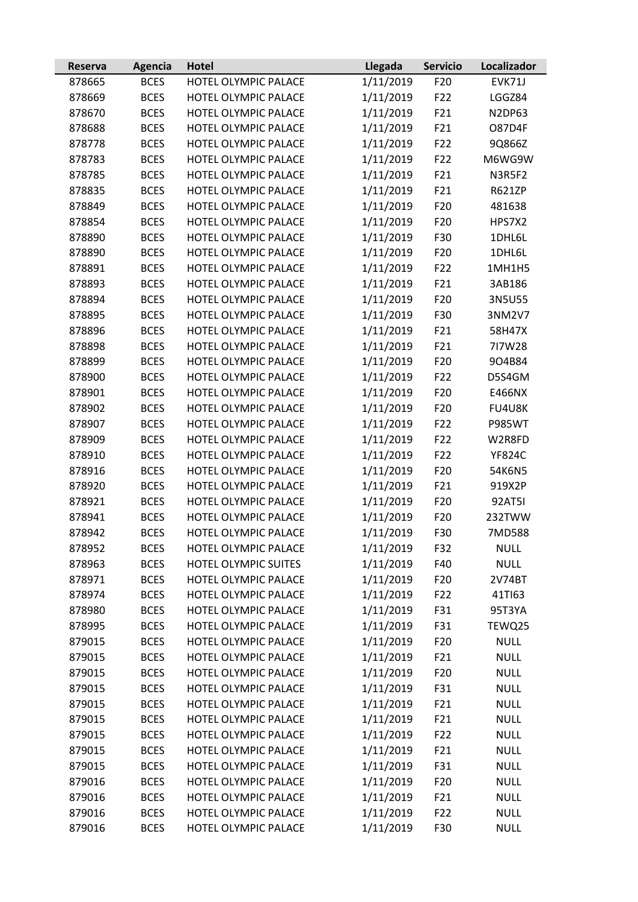| Reserva | <b>Agencia</b> | <b>Hotel</b>         | Llegada   | <b>Servicio</b> | Localizador   |
|---------|----------------|----------------------|-----------|-----------------|---------------|
| 878665  | <b>BCES</b>    | HOTEL OLYMPIC PALACE | 1/11/2019 | F <sub>20</sub> | EVK71J        |
| 878669  | <b>BCES</b>    | HOTEL OLYMPIC PALACE | 1/11/2019 | F <sub>22</sub> | LGGZ84        |
| 878670  | <b>BCES</b>    | HOTEL OLYMPIC PALACE | 1/11/2019 | F21             | N2DP63        |
| 878688  | <b>BCES</b>    | HOTEL OLYMPIC PALACE | 1/11/2019 | F21             | <b>O87D4F</b> |
| 878778  | <b>BCES</b>    | HOTEL OLYMPIC PALACE | 1/11/2019 | F22             | 9Q866Z        |
| 878783  | <b>BCES</b>    | HOTEL OLYMPIC PALACE | 1/11/2019 | F22             | M6WG9W        |
| 878785  | <b>BCES</b>    | HOTEL OLYMPIC PALACE | 1/11/2019 | F21             | <b>N3R5F2</b> |
| 878835  | <b>BCES</b>    | HOTEL OLYMPIC PALACE | 1/11/2019 | F21             | R621ZP        |
| 878849  | <b>BCES</b>    | HOTEL OLYMPIC PALACE | 1/11/2019 | F20             | 481638        |
| 878854  | <b>BCES</b>    | HOTEL OLYMPIC PALACE | 1/11/2019 | F <sub>20</sub> | HPS7X2        |
| 878890  | <b>BCES</b>    | HOTEL OLYMPIC PALACE | 1/11/2019 | F30             | 1DHL6L        |
| 878890  | <b>BCES</b>    | HOTEL OLYMPIC PALACE | 1/11/2019 | F20             | 1DHL6L        |
| 878891  | <b>BCES</b>    | HOTEL OLYMPIC PALACE | 1/11/2019 | F22             | 1MH1H5        |
| 878893  | <b>BCES</b>    | HOTEL OLYMPIC PALACE | 1/11/2019 | F21             | 3AB186        |
| 878894  | <b>BCES</b>    | HOTEL OLYMPIC PALACE | 1/11/2019 | F <sub>20</sub> | 3N5U55        |
| 878895  | <b>BCES</b>    | HOTEL OLYMPIC PALACE | 1/11/2019 | F30             | 3NM2V7        |
| 878896  | <b>BCES</b>    | HOTEL OLYMPIC PALACE | 1/11/2019 | F21             | 58H47X        |
| 878898  | <b>BCES</b>    | HOTEL OLYMPIC PALACE | 1/11/2019 | F21             | 717W28        |
| 878899  | <b>BCES</b>    | HOTEL OLYMPIC PALACE | 1/11/2019 | F <sub>20</sub> | 904B84        |
| 878900  | <b>BCES</b>    | HOTEL OLYMPIC PALACE | 1/11/2019 | F22             | D5S4GM        |
| 878901  | <b>BCES</b>    | HOTEL OLYMPIC PALACE | 1/11/2019 | F <sub>20</sub> | E466NX        |
| 878902  | <b>BCES</b>    | HOTEL OLYMPIC PALACE | 1/11/2019 | F <sub>20</sub> | FU4U8K        |
| 878907  | <b>BCES</b>    | HOTEL OLYMPIC PALACE | 1/11/2019 | F22             | <b>P985WT</b> |
| 878909  | <b>BCES</b>    | HOTEL OLYMPIC PALACE | 1/11/2019 | F22             | W2R8FD        |
| 878910  | <b>BCES</b>    | HOTEL OLYMPIC PALACE | 1/11/2019 | F22             | <b>YF824C</b> |
| 878916  | <b>BCES</b>    | HOTEL OLYMPIC PALACE | 1/11/2019 | F <sub>20</sub> | 54K6N5        |
| 878920  | <b>BCES</b>    | HOTEL OLYMPIC PALACE | 1/11/2019 | F21             | 919X2P        |
| 878921  | <b>BCES</b>    | HOTEL OLYMPIC PALACE | 1/11/2019 | F <sub>20</sub> | <b>92AT5I</b> |
| 878941  | <b>BCES</b>    | HOTEL OLYMPIC PALACE | 1/11/2019 | F <sub>20</sub> | 232TWW        |
| 878942  | <b>BCES</b>    | HOTEL OLYMPIC PALACE | 1/11/2019 | F30             | 7MD588        |
| 878952  | <b>BCES</b>    | HOTEL OLYMPIC PALACE | 1/11/2019 | F32             | <b>NULL</b>   |
| 878963  | <b>BCES</b>    | HOTEL OLYMPIC SUITES | 1/11/2019 | F40             | <b>NULL</b>   |
| 878971  | <b>BCES</b>    | HOTEL OLYMPIC PALACE | 1/11/2019 | F <sub>20</sub> | 2V74BT        |
| 878974  | <b>BCES</b>    | HOTEL OLYMPIC PALACE | 1/11/2019 | F <sub>22</sub> | 41TI63        |
| 878980  | <b>BCES</b>    | HOTEL OLYMPIC PALACE | 1/11/2019 | F31             | 95T3YA        |
| 878995  | <b>BCES</b>    | HOTEL OLYMPIC PALACE | 1/11/2019 | F31             | TEWQ25        |
| 879015  | <b>BCES</b>    | HOTEL OLYMPIC PALACE | 1/11/2019 | F <sub>20</sub> | <b>NULL</b>   |
| 879015  | <b>BCES</b>    | HOTEL OLYMPIC PALACE | 1/11/2019 | F21             | <b>NULL</b>   |
| 879015  | <b>BCES</b>    | HOTEL OLYMPIC PALACE | 1/11/2019 | F <sub>20</sub> | <b>NULL</b>   |
| 879015  | <b>BCES</b>    | HOTEL OLYMPIC PALACE | 1/11/2019 | F31             | <b>NULL</b>   |
| 879015  | <b>BCES</b>    | HOTEL OLYMPIC PALACE | 1/11/2019 | F21             | <b>NULL</b>   |
| 879015  | <b>BCES</b>    | HOTEL OLYMPIC PALACE | 1/11/2019 | F21             | <b>NULL</b>   |
| 879015  | <b>BCES</b>    | HOTEL OLYMPIC PALACE | 1/11/2019 | F <sub>22</sub> | <b>NULL</b>   |
| 879015  | <b>BCES</b>    | HOTEL OLYMPIC PALACE | 1/11/2019 | F21             | <b>NULL</b>   |
| 879015  | <b>BCES</b>    | HOTEL OLYMPIC PALACE | 1/11/2019 | F31             | <b>NULL</b>   |
| 879016  | <b>BCES</b>    | HOTEL OLYMPIC PALACE | 1/11/2019 | F <sub>20</sub> | <b>NULL</b>   |
| 879016  | <b>BCES</b>    | HOTEL OLYMPIC PALACE | 1/11/2019 | F21             | <b>NULL</b>   |
| 879016  | <b>BCES</b>    | HOTEL OLYMPIC PALACE | 1/11/2019 | F22             | <b>NULL</b>   |
| 879016  | <b>BCES</b>    | HOTEL OLYMPIC PALACE | 1/11/2019 | F30             | <b>NULL</b>   |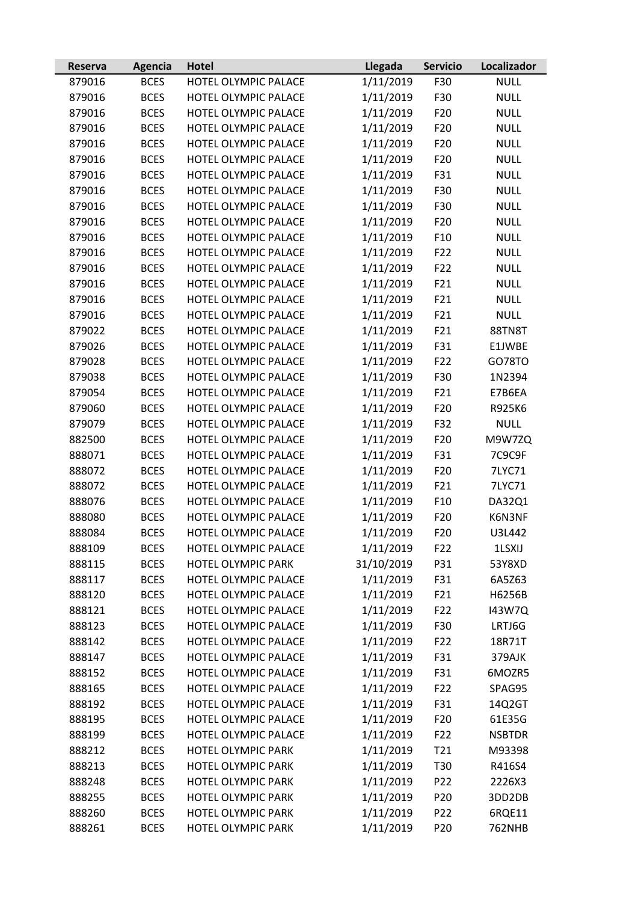| Reserva | Agencia     | <b>Hotel</b>              | Llegada    | <b>Servicio</b> | Localizador   |
|---------|-------------|---------------------------|------------|-----------------|---------------|
| 879016  | <b>BCES</b> | HOTEL OLYMPIC PALACE      | 1/11/2019  | F30             | <b>NULL</b>   |
| 879016  | <b>BCES</b> | HOTEL OLYMPIC PALACE      | 1/11/2019  | F30             | <b>NULL</b>   |
| 879016  | <b>BCES</b> | HOTEL OLYMPIC PALACE      | 1/11/2019  | F20             | <b>NULL</b>   |
| 879016  | <b>BCES</b> | HOTEL OLYMPIC PALACE      | 1/11/2019  | F20             | <b>NULL</b>   |
| 879016  | <b>BCES</b> | HOTEL OLYMPIC PALACE      | 1/11/2019  | F20             | <b>NULL</b>   |
| 879016  | <b>BCES</b> | HOTEL OLYMPIC PALACE      | 1/11/2019  | F20             | <b>NULL</b>   |
| 879016  | <b>BCES</b> | HOTEL OLYMPIC PALACE      | 1/11/2019  | F31             | <b>NULL</b>   |
| 879016  | <b>BCES</b> | HOTEL OLYMPIC PALACE      | 1/11/2019  | F30             | <b>NULL</b>   |
| 879016  | <b>BCES</b> | HOTEL OLYMPIC PALACE      | 1/11/2019  | F30             | <b>NULL</b>   |
| 879016  | <b>BCES</b> | HOTEL OLYMPIC PALACE      | 1/11/2019  | F20             | <b>NULL</b>   |
| 879016  | <b>BCES</b> | HOTEL OLYMPIC PALACE      | 1/11/2019  | F <sub>10</sub> | <b>NULL</b>   |
| 879016  | <b>BCES</b> | HOTEL OLYMPIC PALACE      | 1/11/2019  | F22             | <b>NULL</b>   |
| 879016  | <b>BCES</b> | HOTEL OLYMPIC PALACE      | 1/11/2019  | F22             | <b>NULL</b>   |
| 879016  | <b>BCES</b> | HOTEL OLYMPIC PALACE      | 1/11/2019  | F21             | <b>NULL</b>   |
| 879016  | <b>BCES</b> | HOTEL OLYMPIC PALACE      | 1/11/2019  | F21             | <b>NULL</b>   |
| 879016  | <b>BCES</b> | HOTEL OLYMPIC PALACE      | 1/11/2019  | F21             | <b>NULL</b>   |
| 879022  | <b>BCES</b> | HOTEL OLYMPIC PALACE      | 1/11/2019  | F21             | 88TN8T        |
| 879026  | <b>BCES</b> | HOTEL OLYMPIC PALACE      | 1/11/2019  | F31             | E1JWBE        |
| 879028  | <b>BCES</b> | HOTEL OLYMPIC PALACE      | 1/11/2019  | F22             | GO78TO        |
| 879038  | <b>BCES</b> | HOTEL OLYMPIC PALACE      | 1/11/2019  | F30             | 1N2394        |
| 879054  | <b>BCES</b> | HOTEL OLYMPIC PALACE      | 1/11/2019  | F21             | E7B6EA        |
| 879060  | <b>BCES</b> | HOTEL OLYMPIC PALACE      | 1/11/2019  | F20             | R925K6        |
| 879079  | <b>BCES</b> | HOTEL OLYMPIC PALACE      | 1/11/2019  | F32             | <b>NULL</b>   |
| 882500  | <b>BCES</b> | HOTEL OLYMPIC PALACE      | 1/11/2019  | F20             | M9W7ZQ        |
| 888071  | <b>BCES</b> | HOTEL OLYMPIC PALACE      | 1/11/2019  | F31             | 7C9C9F        |
| 888072  | <b>BCES</b> | HOTEL OLYMPIC PALACE      | 1/11/2019  | F20             | 7LYC71        |
| 888072  | <b>BCES</b> | HOTEL OLYMPIC PALACE      | 1/11/2019  | F21             | 7LYC71        |
| 888076  | <b>BCES</b> | HOTEL OLYMPIC PALACE      | 1/11/2019  | F <sub>10</sub> | DA32Q1        |
| 888080  | <b>BCES</b> | HOTEL OLYMPIC PALACE      | 1/11/2019  | F20             | K6N3NF        |
| 888084  | <b>BCES</b> | HOTEL OLYMPIC PALACE      | 1/11/2019  | F20             | U3L442        |
| 888109  | <b>BCES</b> | HOTEL OLYMPIC PALACE      | 1/11/2019  | F <sub>22</sub> | 1LSXIJ        |
| 888115  | <b>BCES</b> | HOTEL OLYMPIC PARK        | 31/10/2019 | P31             | 53Y8XD        |
| 888117  | <b>BCES</b> | HOTEL OLYMPIC PALACE      | 1/11/2019  | F31             | 6A5Z63        |
| 888120  | <b>BCES</b> | HOTEL OLYMPIC PALACE      | 1/11/2019  | F21             | H6256B        |
| 888121  | <b>BCES</b> | HOTEL OLYMPIC PALACE      | 1/11/2019  | F22             | 143W7Q        |
| 888123  | <b>BCES</b> | HOTEL OLYMPIC PALACE      | 1/11/2019  | F30             | LRTJ6G        |
| 888142  | <b>BCES</b> | HOTEL OLYMPIC PALACE      | 1/11/2019  | F22             | 18R71T        |
| 888147  | <b>BCES</b> | HOTEL OLYMPIC PALACE      | 1/11/2019  | F31             | 379AJK        |
| 888152  | <b>BCES</b> | HOTEL OLYMPIC PALACE      | 1/11/2019  | F31             | 6MOZR5        |
| 888165  | <b>BCES</b> | HOTEL OLYMPIC PALACE      | 1/11/2019  | F22             | SPAG95        |
| 888192  | <b>BCES</b> | HOTEL OLYMPIC PALACE      | 1/11/2019  | F31             | 14Q2GT        |
| 888195  | <b>BCES</b> | HOTEL OLYMPIC PALACE      | 1/11/2019  | F <sub>20</sub> | 61E35G        |
| 888199  | <b>BCES</b> | HOTEL OLYMPIC PALACE      | 1/11/2019  | F22             | <b>NSBTDR</b> |
| 888212  | <b>BCES</b> | <b>HOTEL OLYMPIC PARK</b> | 1/11/2019  | T21             | M93398        |
| 888213  | <b>BCES</b> | HOTEL OLYMPIC PARK        | 1/11/2019  | T30             | R416S4        |
| 888248  | <b>BCES</b> | HOTEL OLYMPIC PARK        | 1/11/2019  | P22             | 2226X3        |
| 888255  | <b>BCES</b> | HOTEL OLYMPIC PARK        | 1/11/2019  | P20             | 3DD2DB        |
| 888260  | <b>BCES</b> | HOTEL OLYMPIC PARK        | 1/11/2019  | P <sub>22</sub> | 6RQE11        |
| 888261  | <b>BCES</b> | HOTEL OLYMPIC PARK        | 1/11/2019  | P20             | <b>762NHB</b> |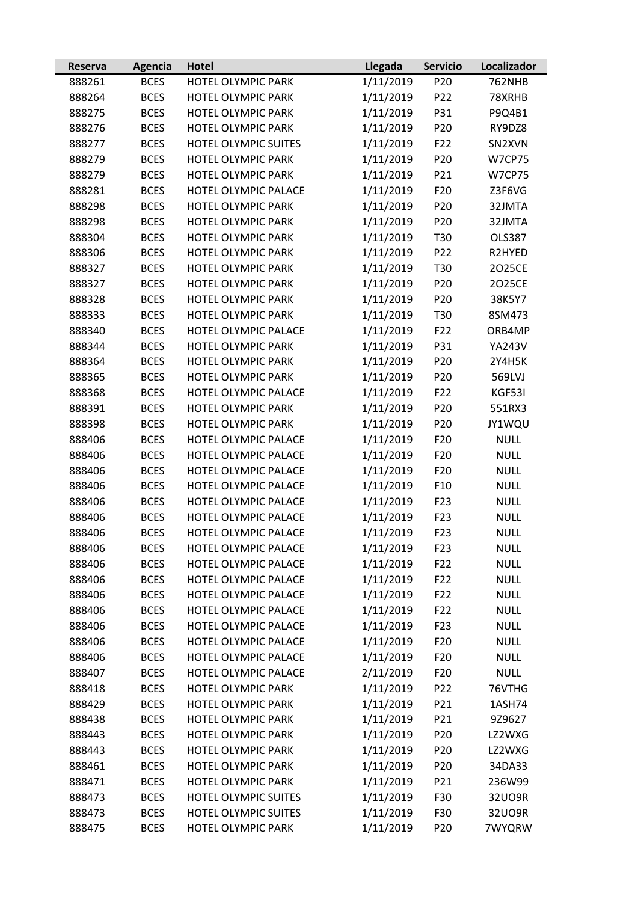| Reserva | <b>Agencia</b> | <b>Hotel</b>              | Llegada   | <b>Servicio</b> | Localizador   |
|---------|----------------|---------------------------|-----------|-----------------|---------------|
| 888261  | <b>BCES</b>    | HOTEL OLYMPIC PARK        | 1/11/2019 | P <sub>20</sub> | <b>762NHB</b> |
| 888264  | <b>BCES</b>    | HOTEL OLYMPIC PARK        | 1/11/2019 | P <sub>22</sub> | 78XRHB        |
| 888275  | <b>BCES</b>    | HOTEL OLYMPIC PARK        | 1/11/2019 | P31             | P9Q4B1        |
| 888276  | <b>BCES</b>    | HOTEL OLYMPIC PARK        | 1/11/2019 | P <sub>20</sub> | RY9DZ8        |
| 888277  | <b>BCES</b>    | HOTEL OLYMPIC SUITES      | 1/11/2019 | F22             | SN2XVN        |
| 888279  | <b>BCES</b>    | HOTEL OLYMPIC PARK        | 1/11/2019 | P <sub>20</sub> | <b>W7CP75</b> |
| 888279  | <b>BCES</b>    | HOTEL OLYMPIC PARK        | 1/11/2019 | P21             | <b>W7CP75</b> |
| 888281  | <b>BCES</b>    | HOTEL OLYMPIC PALACE      | 1/11/2019 | F <sub>20</sub> | Z3F6VG        |
| 888298  | <b>BCES</b>    | HOTEL OLYMPIC PARK        | 1/11/2019 | P <sub>20</sub> | 32JMTA        |
| 888298  | <b>BCES</b>    | HOTEL OLYMPIC PARK        | 1/11/2019 | P <sub>20</sub> | 32JMTA        |
| 888304  | <b>BCES</b>    | HOTEL OLYMPIC PARK        | 1/11/2019 | T30             | <b>OLS387</b> |
| 888306  | <b>BCES</b>    | HOTEL OLYMPIC PARK        | 1/11/2019 | P22             | R2HYED        |
| 888327  | <b>BCES</b>    | HOTEL OLYMPIC PARK        | 1/11/2019 | T30             | 2025CE        |
| 888327  | <b>BCES</b>    | HOTEL OLYMPIC PARK        | 1/11/2019 | P <sub>20</sub> | 2025CE        |
| 888328  | <b>BCES</b>    | <b>HOTEL OLYMPIC PARK</b> | 1/11/2019 | P <sub>20</sub> | 38K5Y7        |
| 888333  | <b>BCES</b>    | HOTEL OLYMPIC PARK        | 1/11/2019 | T30             | 8SM473        |
| 888340  | <b>BCES</b>    | HOTEL OLYMPIC PALACE      | 1/11/2019 | F22             | ORB4MP        |
| 888344  | <b>BCES</b>    | <b>HOTEL OLYMPIC PARK</b> | 1/11/2019 | P31             | <b>YA243V</b> |
| 888364  | <b>BCES</b>    | HOTEL OLYMPIC PARK        | 1/11/2019 | P20             | 2Y4H5K        |
| 888365  | <b>BCES</b>    | HOTEL OLYMPIC PARK        | 1/11/2019 | P <sub>20</sub> | 569LVJ        |
| 888368  | <b>BCES</b>    | HOTEL OLYMPIC PALACE      | 1/11/2019 | F22             | KGF53I        |
| 888391  | <b>BCES</b>    | <b>HOTEL OLYMPIC PARK</b> | 1/11/2019 | P <sub>20</sub> | 551RX3        |
| 888398  | <b>BCES</b>    | HOTEL OLYMPIC PARK        | 1/11/2019 | P <sub>20</sub> | JY1WQU        |
| 888406  | <b>BCES</b>    | HOTEL OLYMPIC PALACE      | 1/11/2019 | F <sub>20</sub> | <b>NULL</b>   |
| 888406  | <b>BCES</b>    | HOTEL OLYMPIC PALACE      | 1/11/2019 | F <sub>20</sub> | <b>NULL</b>   |
| 888406  | <b>BCES</b>    | HOTEL OLYMPIC PALACE      | 1/11/2019 | F <sub>20</sub> | <b>NULL</b>   |
| 888406  | <b>BCES</b>    | HOTEL OLYMPIC PALACE      | 1/11/2019 | F10             | <b>NULL</b>   |
| 888406  | <b>BCES</b>    | HOTEL OLYMPIC PALACE      | 1/11/2019 | F <sub>23</sub> | <b>NULL</b>   |
| 888406  | <b>BCES</b>    | HOTEL OLYMPIC PALACE      | 1/11/2019 | F <sub>23</sub> | <b>NULL</b>   |
| 888406  | <b>BCES</b>    | HOTEL OLYMPIC PALACE      | 1/11/2019 | F <sub>23</sub> | <b>NULL</b>   |
| 888406  | <b>BCES</b>    | HOTEL OLYMPIC PALACE      | 1/11/2019 | F <sub>23</sub> | <b>NULL</b>   |
| 888406  | <b>BCES</b>    | HOTEL OLYMPIC PALACE      | 1/11/2019 | F <sub>22</sub> | <b>NULL</b>   |
| 888406  | <b>BCES</b>    | HOTEL OLYMPIC PALACE      | 1/11/2019 | F22             | <b>NULL</b>   |
| 888406  | <b>BCES</b>    | HOTEL OLYMPIC PALACE      | 1/11/2019 | F <sub>22</sub> | <b>NULL</b>   |
| 888406  | <b>BCES</b>    | HOTEL OLYMPIC PALACE      | 1/11/2019 | F22             | <b>NULL</b>   |
| 888406  | <b>BCES</b>    | HOTEL OLYMPIC PALACE      | 1/11/2019 | F <sub>23</sub> | <b>NULL</b>   |
| 888406  | <b>BCES</b>    | HOTEL OLYMPIC PALACE      | 1/11/2019 | F <sub>20</sub> | <b>NULL</b>   |
| 888406  | <b>BCES</b>    | HOTEL OLYMPIC PALACE      | 1/11/2019 | F <sub>20</sub> | <b>NULL</b>   |
| 888407  | <b>BCES</b>    | HOTEL OLYMPIC PALACE      | 2/11/2019 | F <sub>20</sub> | <b>NULL</b>   |
| 888418  | <b>BCES</b>    | HOTEL OLYMPIC PARK        | 1/11/2019 | P22             | 76VTHG        |
| 888429  | <b>BCES</b>    | HOTEL OLYMPIC PARK        | 1/11/2019 | P21             | 1ASH74        |
| 888438  | <b>BCES</b>    | HOTEL OLYMPIC PARK        | 1/11/2019 | P21             | 9Z9627        |
| 888443  | <b>BCES</b>    | HOTEL OLYMPIC PARK        | 1/11/2019 | P <sub>20</sub> | LZ2WXG        |
| 888443  | <b>BCES</b>    | <b>HOTEL OLYMPIC PARK</b> | 1/11/2019 | P <sub>20</sub> | LZ2WXG        |
| 888461  | <b>BCES</b>    | HOTEL OLYMPIC PARK        | 1/11/2019 | P <sub>20</sub> | 34DA33        |
| 888471  | <b>BCES</b>    | HOTEL OLYMPIC PARK        | 1/11/2019 | P21             | 236W99        |
| 888473  | <b>BCES</b>    | HOTEL OLYMPIC SUITES      | 1/11/2019 | F30             | 32U09R        |
| 888473  | <b>BCES</b>    | HOTEL OLYMPIC SUITES      | 1/11/2019 | F30             | 32U09R        |
| 888475  | <b>BCES</b>    | HOTEL OLYMPIC PARK        | 1/11/2019 | P <sub>20</sub> | 7WYQRW        |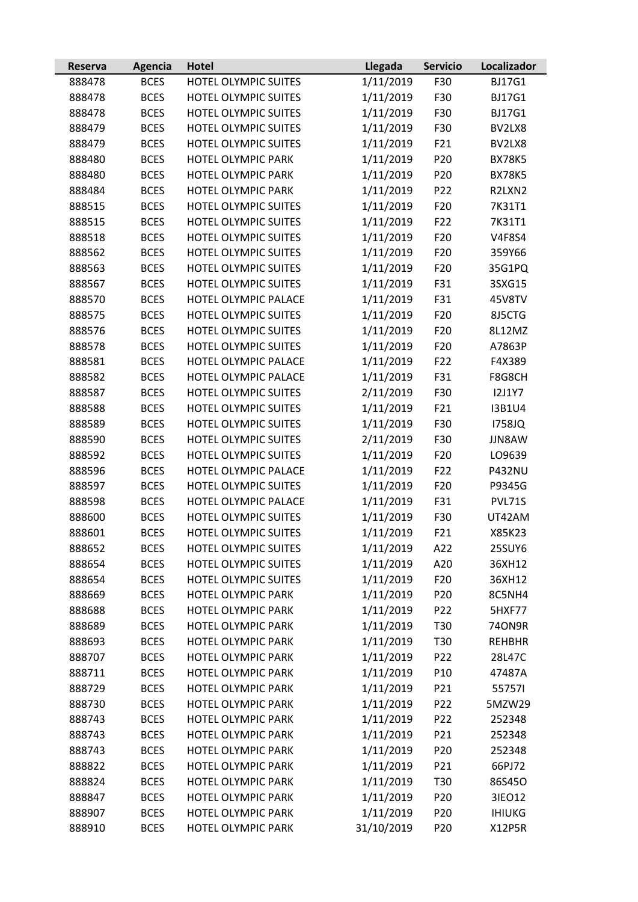| Reserva | Agencia     | <b>Hotel</b>                | Llegada    | <b>Servicio</b> | Localizador   |
|---------|-------------|-----------------------------|------------|-----------------|---------------|
| 888478  | <b>BCES</b> | HOTEL OLYMPIC SUITES        | 1/11/2019  | F30             | <b>BJ17G1</b> |
| 888478  | <b>BCES</b> | HOTEL OLYMPIC SUITES        | 1/11/2019  | F30             | <b>BJ17G1</b> |
| 888478  | <b>BCES</b> | HOTEL OLYMPIC SUITES        | 1/11/2019  | F30             | <b>BJ17G1</b> |
| 888479  | <b>BCES</b> | HOTEL OLYMPIC SUITES        | 1/11/2019  | F30             | BV2LX8        |
| 888479  | <b>BCES</b> | HOTEL OLYMPIC SUITES        | 1/11/2019  | F21             | BV2LX8        |
| 888480  | <b>BCES</b> | HOTEL OLYMPIC PARK          | 1/11/2019  | P20             | <b>BX78K5</b> |
| 888480  | <b>BCES</b> | HOTEL OLYMPIC PARK          | 1/11/2019  | P20             | <b>BX78K5</b> |
| 888484  | <b>BCES</b> | HOTEL OLYMPIC PARK          | 1/11/2019  | P22             | R2LXN2        |
| 888515  | <b>BCES</b> | HOTEL OLYMPIC SUITES        | 1/11/2019  | F20             | 7K31T1        |
| 888515  | <b>BCES</b> | HOTEL OLYMPIC SUITES        | 1/11/2019  | F22             | 7K31T1        |
| 888518  | <b>BCES</b> | <b>HOTEL OLYMPIC SUITES</b> | 1/11/2019  | F <sub>20</sub> | <b>V4F8S4</b> |
| 888562  | <b>BCES</b> | HOTEL OLYMPIC SUITES        | 1/11/2019  | F20             | 359Y66        |
| 888563  | <b>BCES</b> | HOTEL OLYMPIC SUITES        | 1/11/2019  | F <sub>20</sub> | 35G1PQ        |
| 888567  | <b>BCES</b> | <b>HOTEL OLYMPIC SUITES</b> | 1/11/2019  | F31             | 3SXG15        |
| 888570  | <b>BCES</b> | HOTEL OLYMPIC PALACE        | 1/11/2019  | F31             | 45V8TV        |
| 888575  | <b>BCES</b> | HOTEL OLYMPIC SUITES        | 1/11/2019  | F20             | 8J5CTG        |
| 888576  | <b>BCES</b> | HOTEL OLYMPIC SUITES        | 1/11/2019  | F20             | 8L12MZ        |
| 888578  | <b>BCES</b> | HOTEL OLYMPIC SUITES        | 1/11/2019  | F20             | A7863P        |
| 888581  | <b>BCES</b> | HOTEL OLYMPIC PALACE        | 1/11/2019  | F22             | F4X389        |
| 888582  | <b>BCES</b> | HOTEL OLYMPIC PALACE        | 1/11/2019  | F31             | F8G8CH        |
| 888587  | <b>BCES</b> | HOTEL OLYMPIC SUITES        | 2/11/2019  | F30             | <b>I2J1Y7</b> |
| 888588  | <b>BCES</b> | HOTEL OLYMPIC SUITES        | 1/11/2019  | F21             | <b>I3B1U4</b> |
| 888589  | <b>BCES</b> | HOTEL OLYMPIC SUITES        | 1/11/2019  | F30             | 1758JQ        |
| 888590  | <b>BCES</b> | HOTEL OLYMPIC SUITES        | 2/11/2019  | F30             | JJN8AW        |
| 888592  | <b>BCES</b> | HOTEL OLYMPIC SUITES        | 1/11/2019  | F <sub>20</sub> | LO9639        |
| 888596  | <b>BCES</b> | HOTEL OLYMPIC PALACE        | 1/11/2019  | F22             | <b>P432NU</b> |
| 888597  | <b>BCES</b> | <b>HOTEL OLYMPIC SUITES</b> | 1/11/2019  | F <sub>20</sub> | P9345G        |
| 888598  | <b>BCES</b> | HOTEL OLYMPIC PALACE        | 1/11/2019  | F31             | PVL71S        |
| 888600  | <b>BCES</b> | HOTEL OLYMPIC SUITES        | 1/11/2019  | F30             | UT42AM        |
| 888601  | <b>BCES</b> | HOTEL OLYMPIC SUITES        | 1/11/2019  | F21             | X85K23        |
| 888652  | <b>BCES</b> | HOTEL OLYMPIC SUITES        | 1/11/2019  | A22             | 25SUY6        |
| 888654  | <b>BCES</b> | HOTEL OLYMPIC SUITES        | 1/11/2019  | A20             | 36XH12        |
| 888654  | <b>BCES</b> | HOTEL OLYMPIC SUITES        | 1/11/2019  | F <sub>20</sub> | 36XH12        |
| 888669  | <b>BCES</b> | HOTEL OLYMPIC PARK          | 1/11/2019  | P <sub>20</sub> | 8C5NH4        |
| 888688  | <b>BCES</b> | HOTEL OLYMPIC PARK          | 1/11/2019  | P <sub>22</sub> | 5HXF77        |
| 888689  | <b>BCES</b> | HOTEL OLYMPIC PARK          | 1/11/2019  | T30             | 740N9R        |
| 888693  | <b>BCES</b> | HOTEL OLYMPIC PARK          | 1/11/2019  | T30             | <b>REHBHR</b> |
| 888707  | <b>BCES</b> | HOTEL OLYMPIC PARK          | 1/11/2019  | P <sub>22</sub> | 28L47C        |
| 888711  | <b>BCES</b> | HOTEL OLYMPIC PARK          | 1/11/2019  | P10             | 47487A        |
| 888729  | <b>BCES</b> | HOTEL OLYMPIC PARK          | 1/11/2019  | P21             | 557571        |
| 888730  | <b>BCES</b> | <b>HOTEL OLYMPIC PARK</b>   | 1/11/2019  | P <sub>22</sub> | 5MZW29        |
| 888743  | <b>BCES</b> | HOTEL OLYMPIC PARK          | 1/11/2019  | P <sub>22</sub> | 252348        |
| 888743  | <b>BCES</b> | HOTEL OLYMPIC PARK          | 1/11/2019  | P21             | 252348        |
| 888743  | <b>BCES</b> | HOTEL OLYMPIC PARK          | 1/11/2019  | P20             | 252348        |
| 888822  | <b>BCES</b> | HOTEL OLYMPIC PARK          | 1/11/2019  | P21             | 66PJ72        |
| 888824  | <b>BCES</b> | HOTEL OLYMPIC PARK          | 1/11/2019  | T30             | 86S45O        |
| 888847  | <b>BCES</b> | HOTEL OLYMPIC PARK          | 1/11/2019  | P <sub>20</sub> | 31EO12        |
| 888907  | <b>BCES</b> | HOTEL OLYMPIC PARK          | 1/11/2019  | P <sub>20</sub> | <b>IHIUKG</b> |
| 888910  | <b>BCES</b> | HOTEL OLYMPIC PARK          | 31/10/2019 | P20             | <b>X12P5R</b> |